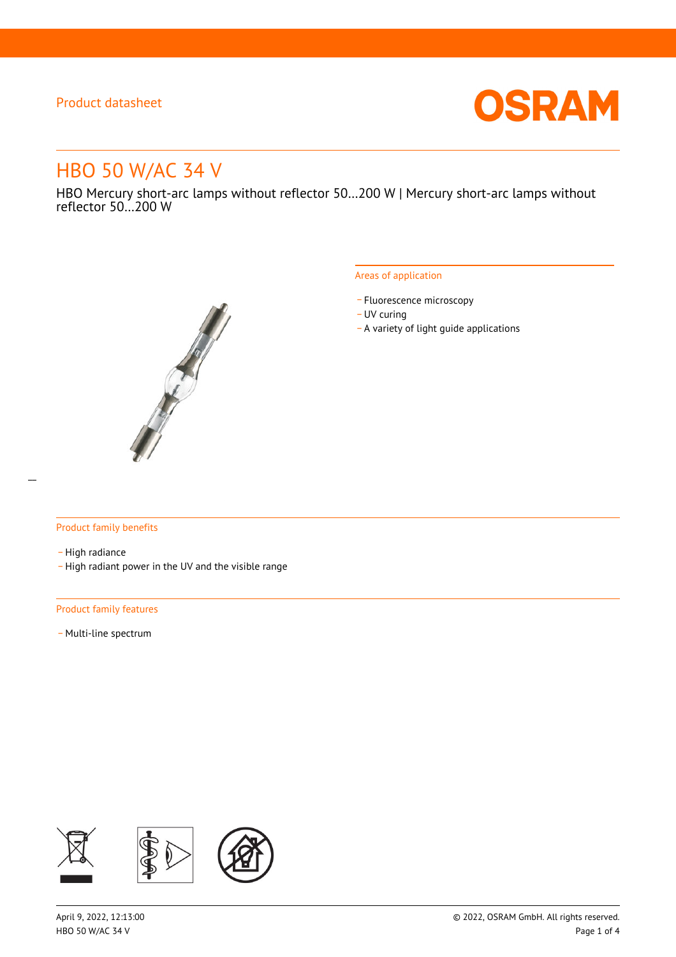

# HBO 50 W/AC 34 V

HBO Mercury short-arc lamps without reflector 50…200 W | Mercury short-arc lamps without reflector 50…200 W



#### Areas of application

- Fluorescence microscopy
- UV curing
- \_ A variety of light guide applications

#### Product family benefits

- High radiance
- \_ High radiant power in the UV and the visible range

#### Product family features

- Multi-line spectrum

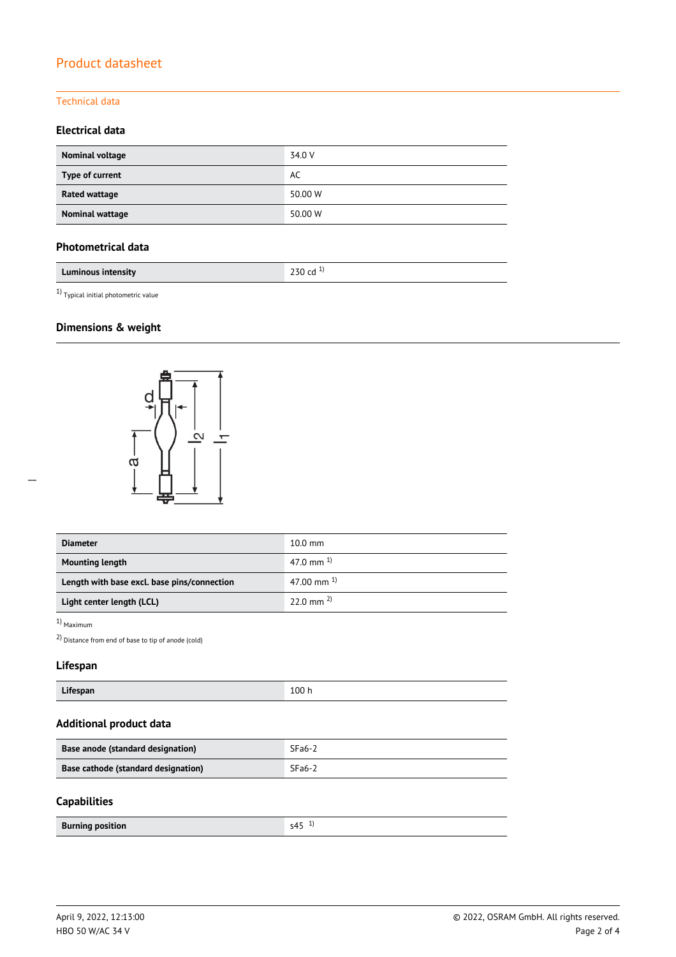#### Technical data

### **Electrical data**

| Nominal voltage      | 34.0 V  |
|----------------------|---------|
| Type of current      | AC      |
| <b>Rated wattage</b> | 50.00 W |
| Nominal wattage      | 50.00 W |

## **Photometrical data**

| Luminous intensity | י |  |
|--------------------|---|--|
|                    | ີ |  |

 $^{1)}$  Typical initial photometric value

# **Dimensions & weight**



| <b>Diameter</b>                             | $10.0 \text{ mm}$     |  |
|---------------------------------------------|-----------------------|--|
| <b>Mounting length</b>                      | 47.0 mm $^{1}$        |  |
| Length with base excl. base pins/connection | 47.00 mm $^{1}$       |  |
| Light center length (LCL)                   | $22.0 \text{ mm}^{2}$ |  |

1) Maximum

2) Distance from end of base to tip of anode (cold)

## **Lifespan**

| $\cdots$<br>Lifespan | 100h |
|----------------------|------|
|----------------------|------|

# **Additional product data**

| Base anode (standard designation)   | $SFa6-2$ |
|-------------------------------------|----------|
| Base cathode (standard designation) | $SFa6-2$ |

#### **Capabilities**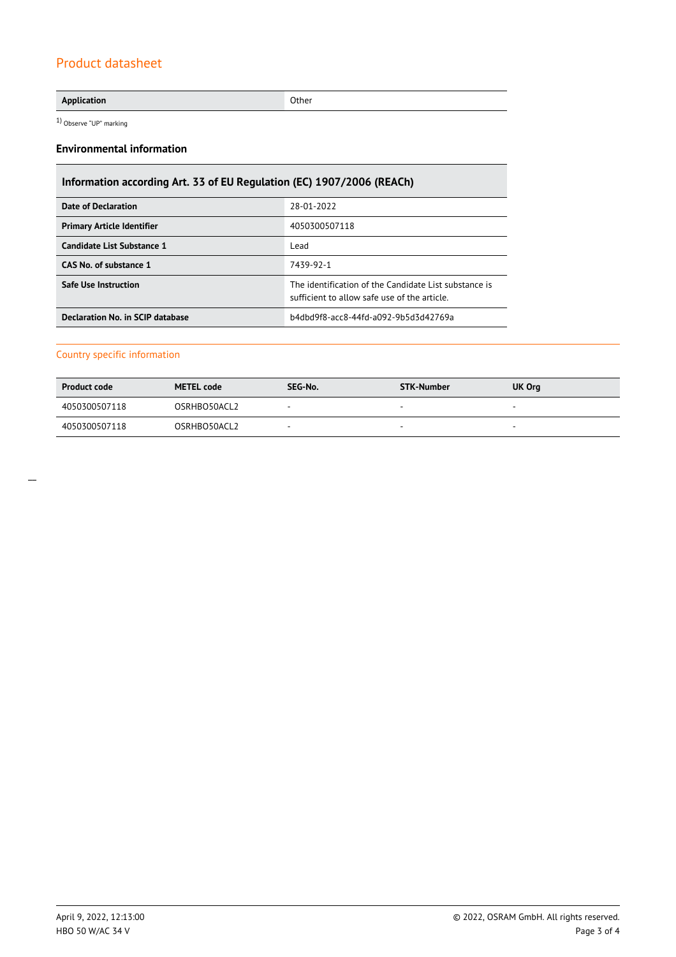#### **Application** Other

1) Observe "UP" marking

#### **Environmental information**

# **Information according Art. 33 of EU Regulation (EC) 1907/2006 (REACh)**

| Date of Declaration               | 28-01-2022                                                                                            |  |
|-----------------------------------|-------------------------------------------------------------------------------------------------------|--|
| <b>Primary Article Identifier</b> | 4050300507118                                                                                         |  |
| Candidate List Substance 1        | Lead                                                                                                  |  |
| CAS No. of substance 1            | 7439-92-1                                                                                             |  |
| <b>Safe Use Instruction</b>       | The identification of the Candidate List substance is<br>sufficient to allow safe use of the article. |  |
| Declaration No. in SCIP database  | b4dbd9f8-acc8-44fd-a092-9b5d3d42769a                                                                  |  |

#### Country specific information

| <b>Product code</b> | <b>METEL code</b> | SEG-No. | STK-Number               | UK Org                   |
|---------------------|-------------------|---------|--------------------------|--------------------------|
| 4050300507118       | OSRHBO50ACL2      | -       | $\overline{\phantom{a}}$ | $\overline{\phantom{a}}$ |
| 4050300507118       | OSRHBO50ACL2      |         |                          | -                        |